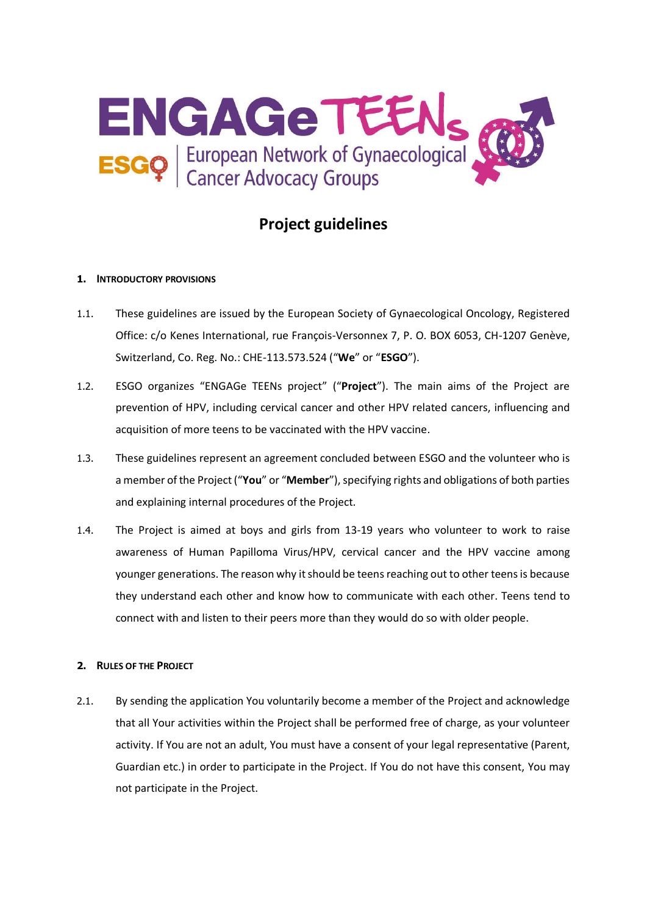

# **Project guidelines**

## **1. INTRODUCTORY PROVISIONS**

- 1.1. These guidelines are issued by the European Society of Gynaecological Oncology, Registered Office: c/o Kenes International, rue François-Versonnex 7, P. O. BOX 6053, CH-1207 Genève, Switzerland, Co. Reg. No.: CHE-113.573.524 ("**We**" or "**ESGO**").
- 1.2. ESGO organizes "ENGAGe TEENs project" ("**Project**"). The main aims of the Project are prevention of HPV, including cervical cancer and other HPV related cancers, influencing and acquisition of more teens to be vaccinated with the HPV vaccine.
- 1.3. These guidelines represent an agreement concluded between ESGO and the volunteer who is a member of the Project("**You**" or "**Member**"), specifying rights and obligations of both parties and explaining internal procedures of the Project.
- 1.4. The Project is aimed at boys and girls from 13-19 years who volunteer to work to raise awareness of Human Papilloma Virus/HPV, cervical cancer and the HPV vaccine among younger generations. The reason why it should be teens reaching out to other teens is because they understand each other and know how to communicate with each other. Teens tend to connect with and listen to their peers more than they would do so with older people.

## **2. RULES OF THE PROJECT**

2.1. By sending the application You voluntarily become a member of the Project and acknowledge that all Your activities within the Project shall be performed free of charge, as your volunteer activity. If You are not an adult, You must have a consent of your legal representative (Parent, Guardian etc.) in order to participate in the Project. If You do not have this consent, You may not participate in the Project.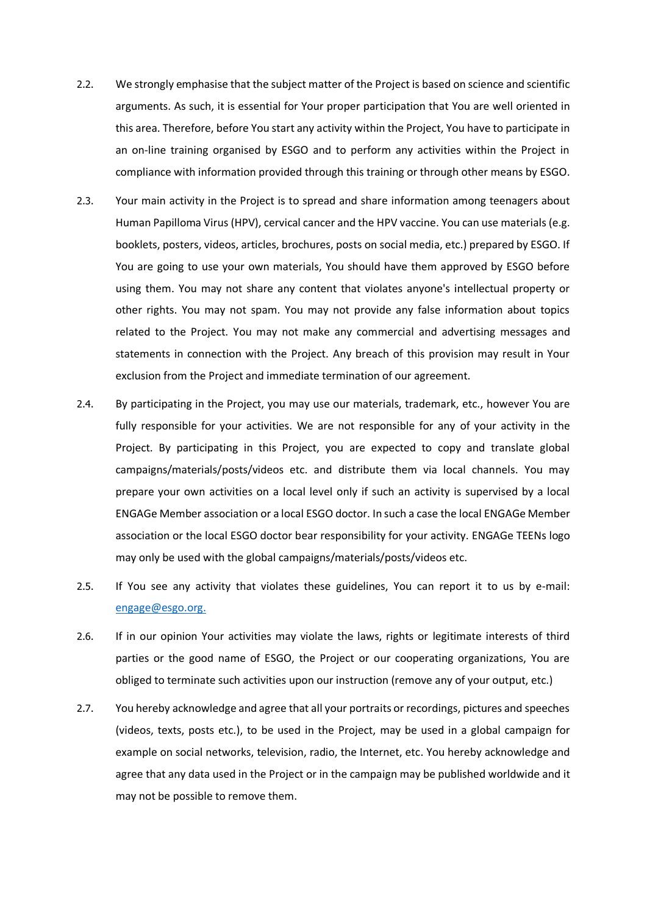- 2.2. We strongly emphasise that the subject matter of the Project is based on science and scientific arguments. As such, it is essential for Your proper participation that You are well oriented in this area. Therefore, before You start any activity within the Project, You have to participate in an on-line training organised by ESGO and to perform any activities within the Project in compliance with information provided through this training or through other means by ESGO.
- 2.3. Your main activity in the Project is to spread and share information among teenagers about Human Papilloma Virus (HPV), cervical cancer and the HPV vaccine. You can use materials (e.g. booklets, posters, videos, articles, brochures, posts on social media, etc.) prepared by ESGO. If You are going to use your own materials, You should have them approved by ESGO before using them. You may not share any content that violates anyone's intellectual property or other rights. You may not spam. You may not provide any false information about topics related to the Project. You may not make any commercial and advertising messages and statements in connection with the Project. Any breach of this provision may result in Your exclusion from the Project and immediate termination of our agreement.
- 2.4. By participating in the Project, you may use our materials, trademark, etc., however You are fully responsible for your activities. We are not responsible for any of your activity in the Project. By participating in this Project, you are expected to copy and translate global campaigns/materials/posts/videos etc. and distribute them via local channels. You may prepare your own activities on a local level only if such an activity is supervised by a local ENGAGe Member association or a local ESGO doctor. In such a case the local ENGAGe Member association or the local ESGO doctor bear responsibility for your activity. ENGAGe TEENs logo may only be used with the global campaigns/materials/posts/videos etc.
- 2.5. If You see any activity that violates these guidelines, You can report it to us by e-mail: [engage@esgo.org.](mailto:engage@esgo.org)
- 2.6. If in our opinion Your activities may violate the laws, rights or legitimate interests of third parties or the good name of ESGO, the Project or our cooperating organizations, You are obliged to terminate such activities upon our instruction (remove any of your output, etc.)
- 2.7. You hereby acknowledge and agree that all your portraits or recordings, pictures and speeches (videos, texts, posts etc.), to be used in the Project, may be used in a global campaign for example on social networks, television, radio, the Internet, etc. You hereby acknowledge and agree that any data used in the Project or in the campaign may be published worldwide and it may not be possible to remove them.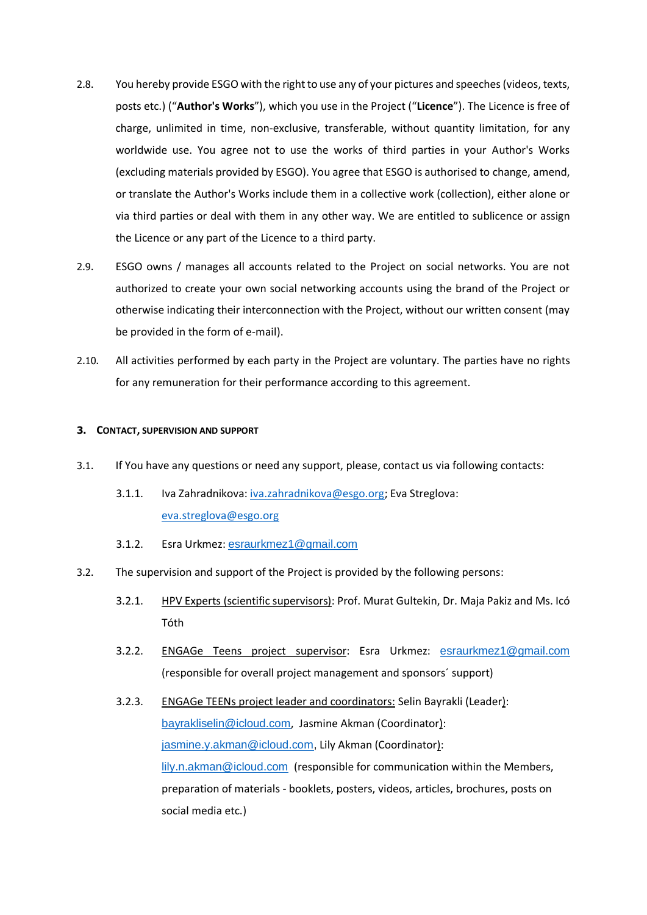- 2.8. You hereby provide ESGO with the right to use any of your pictures and speeches (videos, texts, posts etc.) ("**Author's Works**"), which you use in the Project ("**Licence**"). The Licence is free of charge, unlimited in time, non-exclusive, transferable, without quantity limitation, for any worldwide use. You agree not to use the works of third parties in your Author's Works (excluding materials provided by ESGO). You agree that ESGO is authorised to change, amend, or translate the Author's Works include them in a collective work (collection), either alone or via third parties or deal with them in any other way. We are entitled to sublicence or assign the Licence or any part of the Licence to a third party.
- 2.9. ESGO owns / manages all accounts related to the Project on social networks. You are not authorized to create your own social networking accounts using the brand of the Project or otherwise indicating their interconnection with the Project, without our written consent (may be provided in the form of e-mail).
- 2.10. All activities performed by each party in the Project are voluntary. The parties have no rights for any remuneration for their performance according to this agreement.

#### **3. CONTACT, SUPERVISION AND SUPPORT**

- 3.1. If You have any questions or need any support, please, contact us via following contacts:
	- 3.1.1. Iva Zahradnikova: [iva.zahradnikova@esgo.org;](mailto:iva.zahradnikova@esgo.org) Eva Streglova: [eva.streglova@esgo.org](mailto:eva.streglova@esgo.org)
	- 3.1.2. Esra Urkmez: [esraurkmez1@gmail.com](mailto:esraurkmez1@gmail.com)
- 3.2. The supervision and support of the Project is provided by the following persons:
	- 3.2.1. HPV Experts (scientific supervisors): Prof. Murat Gultekin, Dr. Maja Pakiz and Ms. Icó Tóth
	- 3.2.2. ENGAGe Teens project supervisor: Esra Urkmez: [esraurkmez1@gmail.com](mailto:esraurkmez1@gmail.com) (responsible for overall project management and sponsors´ support)
	- 3.2.3. ENGAGe TEENs project leader and coordinators: Selin Bayrakli (Leader): [bayrakliselin@icloud.com](mailto:bayrakliselin@icloud.com), Jasmine Akman (Coordinator): [jasmine.y.akman@icloud.com,](mailto:jasmine.y.akman@icloud.com) Lily Akman (Coordinator): [lily.n.akman@icloud.com](mailto:lily.n.akman@icloud.com) (responsible for communication within the Members, preparation of materials - booklets, posters, videos, articles, brochures, posts on social media etc.)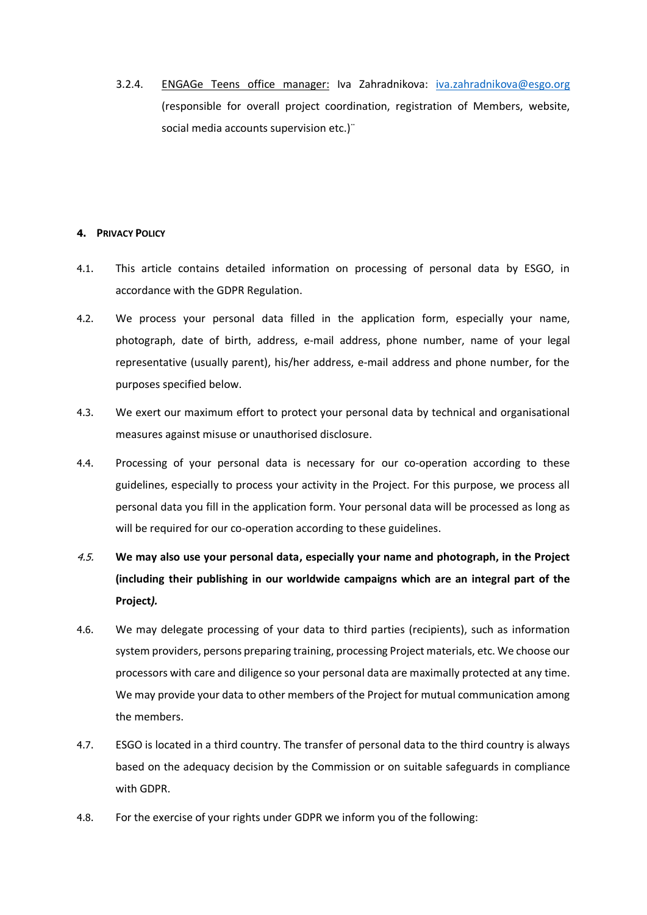3.2.4. ENGAGe Teens office manager: Iva Zahradnikova: [iva.zahradnikova@esgo.org](mailto:iva.zahradnikova@esgo.org) (responsible for overall project coordination, registration of Members, website, social media accounts supervision etc.)<sup>"</sup>

## **4. PRIVACY POLICY**

- 4.1. This article contains detailed information on processing of personal data by ESGO, in accordance with the GDPR Regulation.
- 4.2. We process your personal data filled in the application form, especially your name, photograph, date of birth, address, e-mail address, phone number, name of your legal representative (usually parent), his/her address, e-mail address and phone number, for the purposes specified below.
- 4.3. We exert our maximum effort to protect your personal data by technical and organisational measures against misuse or unauthorised disclosure.
- 4.4. Processing of your personal data is necessary for our co-operation according to these guidelines, especially to process your activity in the Project. For this purpose, we process all personal data you fill in the application form. Your personal data will be processed as long as will be required for our co-operation according to these guidelines.
- 4.5. **We may also use your personal data, especially your name and photograph, in the Project (including their publishing in our worldwide campaigns which are an integral part of the Project***).*
- 4.6. We may delegate processing of your data to third parties (recipients), such as information system providers, persons preparing training, processing Project materials, etc. We choose our processors with care and diligence so your personal data are maximally protected at any time. We may provide your data to other members of the Project for mutual communication among the members.
- 4.7. ESGO is located in a third country. The transfer of personal data to the third country is always based on the adequacy decision by the Commission or on suitable safeguards in compliance with GDPR.
- 4.8. For the exercise of your rights under GDPR we inform you of the following: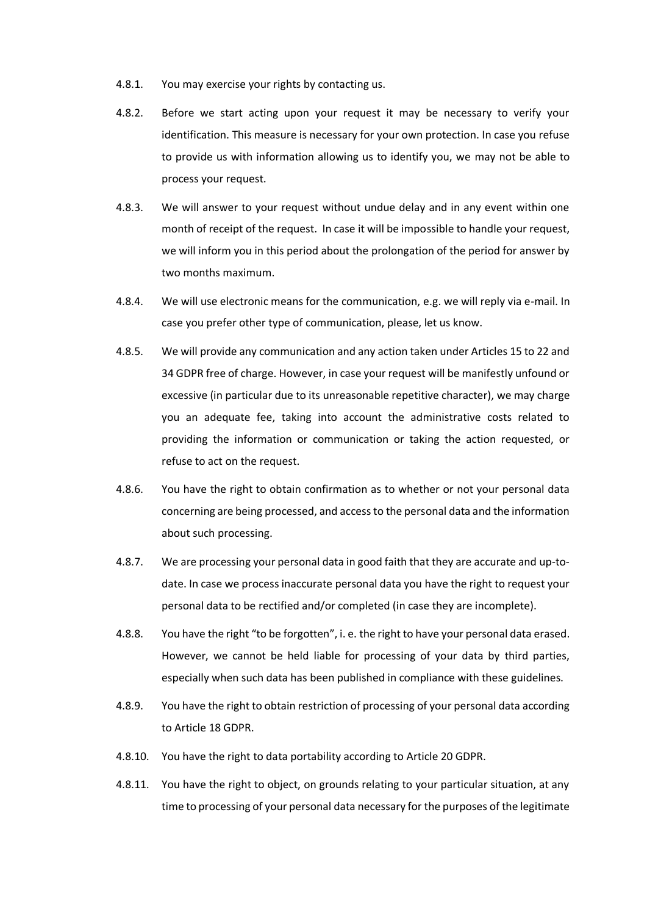- 4.8.1. You may exercise your rights by contacting us.
- 4.8.2. Before we start acting upon your request it may be necessary to verify your identification. This measure is necessary for your own protection. In case you refuse to provide us with information allowing us to identify you, we may not be able to process your request.
- 4.8.3. We will answer to your request without undue delay and in any event within one month of receipt of the request. In case it will be impossible to handle your request, we will inform you in this period about the prolongation of the period for answer by two months maximum.
- 4.8.4. We will use electronic means for the communication, e.g. we will reply via e-mail. In case you prefer other type of communication, please, let us know.
- 4.8.5. We will provide any communication and any action taken under Articles 15 to 22 and 34 GDPR free of charge. However, in case your request will be manifestly unfound or excessive (in particular due to its unreasonable repetitive character), we may charge you an adequate fee, taking into account the administrative costs related to providing the information or communication or taking the action requested, or refuse to act on the request.
- 4.8.6. You have the right to obtain confirmation as to whether or not your personal data concerning are being processed, and access to the personal data and the information about such processing.
- 4.8.7. We are processing your personal data in good faith that they are accurate and up-todate. In case we process inaccurate personal data you have the right to request your personal data to be rectified and/or completed (in case they are incomplete).
- 4.8.8. You have the right "to be forgotten", i. e. the right to have your personal data erased. However, we cannot be held liable for processing of your data by third parties, especially when such data has been published in compliance with these guidelines.
- 4.8.9. You have the right to obtain restriction of processing of your personal data according to Article 18 GDPR.
- 4.8.10. You have the right to data portability according to Article 20 GDPR.
- 4.8.11. You have the right to object, on grounds relating to your particular situation, at any time to processing of your personal data necessary for the purposes of the legitimate